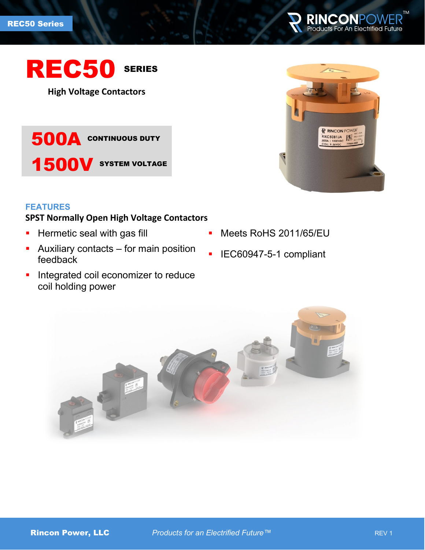



**High Voltage Contactors**

500A CONTINUOUS DUTY 1500V SYSTEM VOLTAGE

#### **FEATURES**

# **SPST Normally Open High Voltage Contactors**

- **Hermetic seal with gas fill**
- **Auxiliary contacts for main position** feedback
- **Integrated coil economizer to reduce** coil holding power
- R RINCON POWER **RXC50B1JA**
- **Meets RoHS 2011/65/EU**
- IEC60947-5-1 compliant

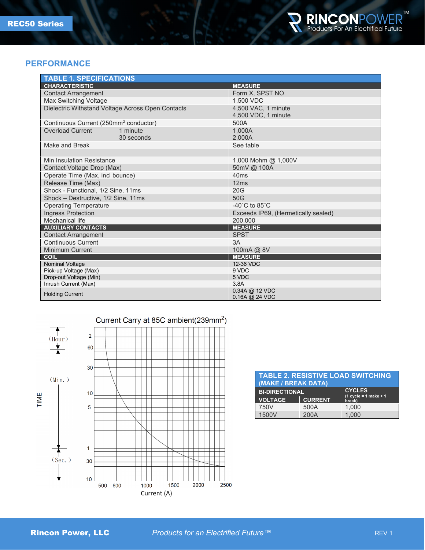

#### **PERFORMANCE**

| <b>TABLE 1. SPECIFICATIONS</b>                    |                                            |  |
|---------------------------------------------------|--------------------------------------------|--|
| <b>CHARACTERISTIC</b>                             | <b>MEASURE</b>                             |  |
| <b>Contact Arrangement</b>                        | Form X, SPST NO                            |  |
| Max Switching Voltage                             | 1.500 VDC                                  |  |
| Dielectric Withstand Voltage Across Open Contacts | 4,500 VAC, 1 minute<br>4,500 VDC, 1 minute |  |
| Continuous Current (250mm <sup>2</sup> conductor) | 500A                                       |  |
| <b>Overload Current</b><br>1 minute               | 1.000A                                     |  |
| 30 seconds                                        | 2.000A                                     |  |
| Make and Break                                    | See table                                  |  |
|                                                   |                                            |  |
| Min Insulation Resistance                         | 1,000 Mohm @ $1,000V$                      |  |
| Contact Voltage Drop (Max)                        | 50mV @ 100A                                |  |
| Operate Time (Max, incl bounce)                   | 40ms                                       |  |
| Release Time (Max)                                | 12ms                                       |  |
| Shock - Functional, 1/2 Sine, 11ms                | 20G                                        |  |
| Shock - Destructive, 1/2 Sine, 11ms               | 50G                                        |  |
| <b>Operating Temperature</b>                      | -40 $^{\circ}$ C to 85 $^{\circ}$ C        |  |
| Ingress Protection                                | Exceeds IP69, (Hermetically sealed)        |  |
| Mechanical life                                   | 200.000                                    |  |
| <b>AUXILIARY CONTACTS</b>                         | <b>MEASURE</b>                             |  |
| <b>Contact Arrangement</b>                        | <b>SPST</b>                                |  |
| <b>Continuous Current</b>                         | 3A                                         |  |
| <b>Minimum Current</b>                            | 100mA @ 8V                                 |  |
| <b>COIL</b>                                       | <b>MEASURE</b>                             |  |
| <b>Nominal Voltage</b>                            | 12-36 VDC                                  |  |
| Pick-up Voltage (Max)                             | 9 VDC                                      |  |
| Drop-out Voltage (Min)                            | 5 VDC                                      |  |
| Inrush Current (Max)                              | 3.8A                                       |  |
| <b>Holding Current</b>                            | 0.34A @ 12 VDC<br>$0.16A$ @ 24 VDC         |  |



| <b>TABLE 2. RESISTIVE LOAD SWITCHING</b><br>(MAKE / BREAK DATA) |                |                                   |  |  |
|-----------------------------------------------------------------|----------------|-----------------------------------|--|--|
| <b>BI-DIRECTIONAL</b>                                           |                | <b>CYCLES</b>                     |  |  |
| <b>VOLTAGE</b>                                                  | <b>CURRENT</b> | $(1$ cycle = 1 make + 1<br>break) |  |  |
| 750V                                                            | 500A           | 1.000                             |  |  |
| 1500V                                                           | 200A           | 1.000                             |  |  |